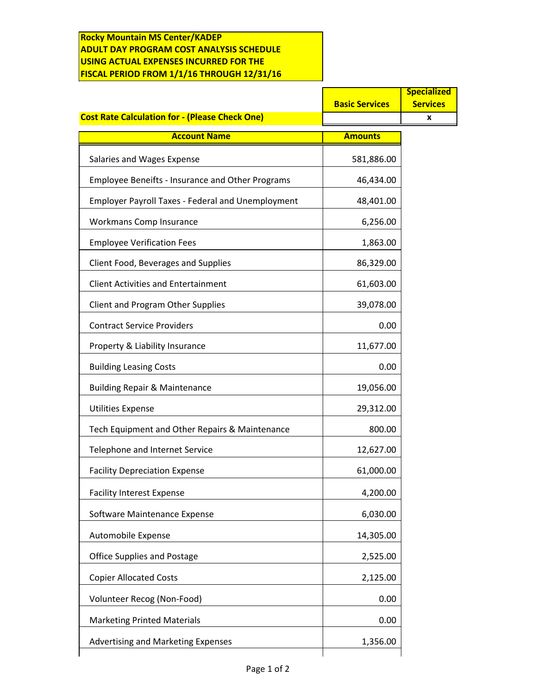## **Rocky Mountain MS Center/KADEP ADULT DAY PROGRAM COST ANALYSIS SCHEDULE USING ACTUAL EXPENSES INCURRED FOR THE FISCAL PERIOD FROM 1/1/16 THROUGH 12/31/16**

|                                                          |                       | <b>Specialized</b> |
|----------------------------------------------------------|-----------------------|--------------------|
|                                                          | <b>Basic Services</b> | <b>Services</b>    |
| <b>Cost Rate Calculation for - (Please Check One)</b>    |                       | x                  |
| <b>Account Name</b>                                      | <b>Amounts</b>        |                    |
| Salaries and Wages Expense                               | 581,886.00            |                    |
| <b>Employee Beneifts - Insurance and Other Programs</b>  | 46,434.00             |                    |
| <b>Employer Payroll Taxes - Federal and Unemployment</b> | 48,401.00             |                    |
| Workmans Comp Insurance                                  | 6,256.00              |                    |
| <b>Employee Verification Fees</b>                        | 1,863.00              |                    |
| Client Food, Beverages and Supplies                      | 86,329.00             |                    |
| <b>Client Activities and Entertainment</b>               | 61,603.00             |                    |
| <b>Client and Program Other Supplies</b>                 | 39,078.00             |                    |
| <b>Contract Service Providers</b>                        | 0.00                  |                    |
| Property & Liability Insurance                           | 11,677.00             |                    |
| <b>Building Leasing Costs</b>                            | 0.00                  |                    |
| <b>Building Repair &amp; Maintenance</b>                 | 19,056.00             |                    |
| <b>Utilities Expense</b>                                 | 29,312.00             |                    |
| Tech Equipment and Other Repairs & Maintenance           | 800.00                |                    |
| Telephone and Internet Service                           | 12,627.00             |                    |
| <b>Facility Depreciation Expense</b>                     | 61,000.00             |                    |
| <b>Facility Interest Expense</b>                         | 4,200.00              |                    |
| Software Maintenance Expense                             | 6,030.00              |                    |
| Automobile Expense                                       | 14,305.00             |                    |
| <b>Office Supplies and Postage</b>                       | 2,525.00              |                    |
| <b>Copier Allocated Costs</b>                            | 2,125.00              |                    |
| Volunteer Recog (Non-Food)                               | 0.00                  |                    |
| <b>Marketing Printed Materials</b>                       | 0.00                  |                    |
| Advertising and Marketing Expenses                       | 1,356.00              |                    |
|                                                          |                       |                    |